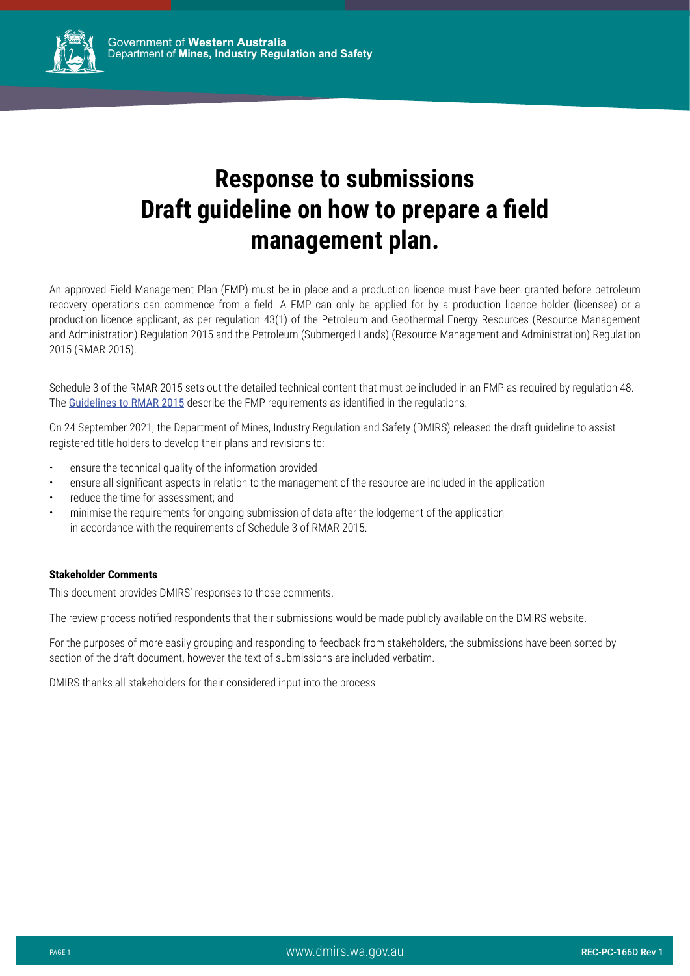

An approved Field Management Plan (FMP) must be in place and a production licence must have been granted before petroleum recovery operations can commence from a field. A FMP can only be applied for by a production licence holder (licensee) or a production licence applicant, as per regulation 43(1) of the Petroleum and Geothermal Energy Resources (Resource Management and Administration) Regulation 2015 and the Petroleum (Submerged Lands) (Resource Management and Administration) Regulation 2015 (RMAR 2015).

Schedule 3 of the RMAR 2015 sets out the detailed technical content that must be included in an FMP as required by regulation 48. The [Guidelines to RMAR 2015](http://dmp.wa.gov.au/Documents/Petroleum/REC-PC-159D.pdf) describe the FMP requirements as identified in the regulations.

On 24 September 2021, the Department of Mines, Industry Regulation and Safety (DMIRS) released the draft guideline to assist registered title holders to develop their plans and revisions to:

- ensure the technical quality of the information provided
- ensure all significant aspects in relation to the management of the resource are included in the application
- reduce the time for assessment; and
- minimise the requirements for ongoing submission of data after the lodgement of the application in accordance with the requirements of Schedule 3 of RMAR 2015.

#### **Stakeholder Comments**

This document provides DMIRS' responses to those comments.

The review process notified respondents that their submissions would be made publicly available on the DMIRS website.

For the purposes of more easily grouping and responding to feedback from stakeholders, the submissions have been sorted by section of the draft document, however the text of submissions are included verbatim.

DMIRS thanks all stakeholders for their considered input into the process.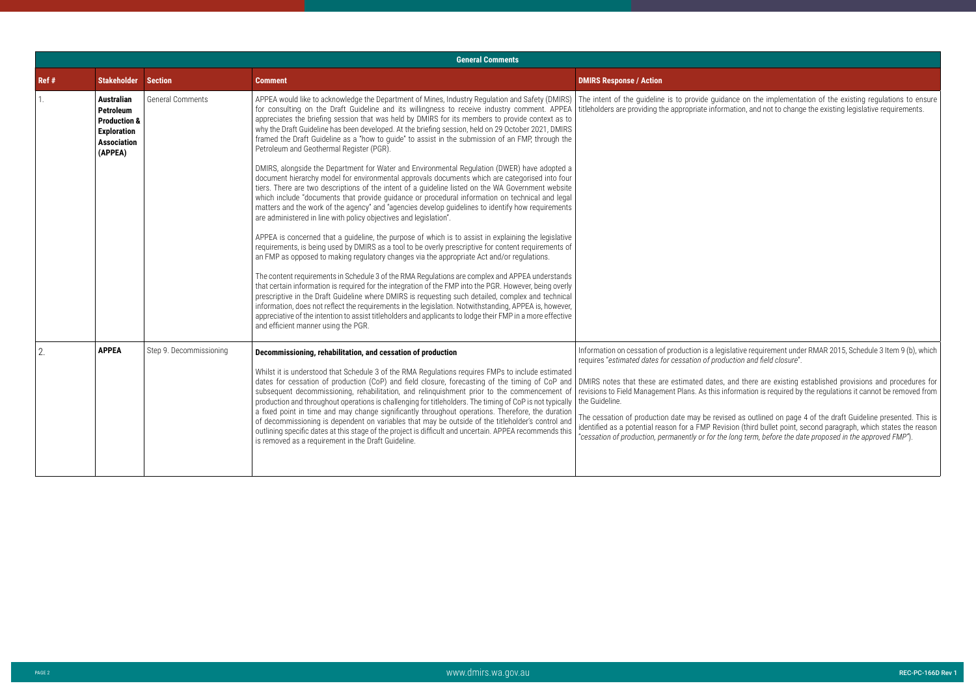ative requirement under RMAR 2015, Schedule 3 Item 9 (b), which requires "*estimated dates for cessation of production and field closure*".

nd there are existing established provisions and procedures for rmation is required by the regulations it cannot be removed from

|       |                                                                                                                         |                         | <b>General Comments</b>                                                                                                                                                                                                                                                                                                                                                                                                                                                                                                                                                                                                                                                                                                                                                                                                                                     |                                                                                                                                                                                                                                                                                                                                                                                                            |
|-------|-------------------------------------------------------------------------------------------------------------------------|-------------------------|-------------------------------------------------------------------------------------------------------------------------------------------------------------------------------------------------------------------------------------------------------------------------------------------------------------------------------------------------------------------------------------------------------------------------------------------------------------------------------------------------------------------------------------------------------------------------------------------------------------------------------------------------------------------------------------------------------------------------------------------------------------------------------------------------------------------------------------------------------------|------------------------------------------------------------------------------------------------------------------------------------------------------------------------------------------------------------------------------------------------------------------------------------------------------------------------------------------------------------------------------------------------------------|
| Ref # | <b>Stakeholder</b>                                                                                                      | <b>Section</b>          | <b>Comment</b>                                                                                                                                                                                                                                                                                                                                                                                                                                                                                                                                                                                                                                                                                                                                                                                                                                              | <b>DMIRS Response / Action</b>                                                                                                                                                                                                                                                                                                                                                                             |
|       | <b>Australian</b><br><b>Petroleum</b><br><b>Production &amp;</b><br><b>Exploration</b><br><b>Association</b><br>(APPEA) | <b>General Comments</b> | APPEA would like to acknowledge the Department of Mines, Industry Regulation and Safety (DMIRS)<br>for consulting on the Draft Guideline and its willingness to receive industry comment. APPEA<br>appreciates the briefing session that was held by DMIRS for its members to provide context as to<br>why the Draft Guideline has been developed. At the briefing session, held on 29 October 2021, DMIRS<br>framed the Draft Guideline as a "how to guide" to assist in the submission of an FMP, through the<br>Petroleum and Geothermal Register (PGR).                                                                                                                                                                                                                                                                                                 | The intent of the guideline is to provide guidanc<br>titleholders are providing the appropriate informat                                                                                                                                                                                                                                                                                                   |
|       |                                                                                                                         |                         | DMIRS, alongside the Department for Water and Environmental Regulation (DWER) have adopted a<br>document hierarchy model for environmental approvals documents which are categorised into four<br>tiers. There are two descriptions of the intent of a guideline listed on the WA Government website<br>which include "documents that provide guidance or procedural information on technical and legal<br>matters and the work of the agency" and "agencies develop guidelines to identify how requirements<br>are administered in line with policy objectives and legislation".                                                                                                                                                                                                                                                                           |                                                                                                                                                                                                                                                                                                                                                                                                            |
|       |                                                                                                                         |                         | APPEA is concerned that a guideline, the purpose of which is to assist in explaining the legislative<br>requirements, is being used by DMIRS as a tool to be overly prescriptive for content requirements of<br>an FMP as opposed to making regulatory changes via the appropriate Act and/or regulations.                                                                                                                                                                                                                                                                                                                                                                                                                                                                                                                                                  |                                                                                                                                                                                                                                                                                                                                                                                                            |
|       |                                                                                                                         |                         | The content requirements in Schedule 3 of the RMA Regulations are complex and APPEA understands<br>that certain information is required for the integration of the FMP into the PGR. However, being overly<br>prescriptive in the Draft Guideline where DMIRS is requesting such detailed, complex and technical<br>information, does not reflect the requirements in the legislation. Notwithstanding, APPEA is, however,<br>appreciative of the intention to assist titleholders and applicants to lodge their FMP in a more effective<br>and efficient manner using the PGR.                                                                                                                                                                                                                                                                             |                                                                                                                                                                                                                                                                                                                                                                                                            |
| 2.    | <b>APPEA</b>                                                                                                            | Step 9. Decommissioning | Decommissioning, rehabilitation, and cessation of production<br>Whilst it is understood that Schedule 3 of the RMA Regulations requires FMPs to include estimated<br>dates for cessation of production (CoP) and field closure, forecasting of the timing of CoP and<br>subsequent decommissioning, rehabilitation, and relinquishment prior to the commencement of<br>production and throughout operations is challenging for titleholders. The timing of CoP is not typically<br>a fixed point in time and may change significantly throughout operations. Therefore, the duration<br>of decommissioning is dependent on variables that may be outside of the titleholder's control and<br>outlining specific dates at this stage of the project is difficult and uncertain. APPEA recommends this<br>is removed as a requirement in the Draft Guideline. | Information on cessation of production is a legislation<br>requires "estimated dates for cessation of product<br>DMIRS notes that these are estimated dates, and<br>revisions to Field Management Plans. As this infor<br>the Guideline.<br>The cessation of production date may be revised<br>identified as a potential reason for a FMP Revision<br>"cessation of production, permanently or for the lor |
|       |                                                                                                                         |                         |                                                                                                                                                                                                                                                                                                                                                                                                                                                                                                                                                                                                                                                                                                                                                                                                                                                             |                                                                                                                                                                                                                                                                                                                                                                                                            |

ce on the implementation of the existing regulations to ensure ition, and not to change the existing legislative requirements.

The cessation of production date may be revised as outlined on page 4 of the draft Guideline presented. This is identified as a potential reason for a FMP Revision (third bullet point, second paragraph, which states the reason "*cessation of production, permanently or for the long term, before the date proposed in the approved FMP"*).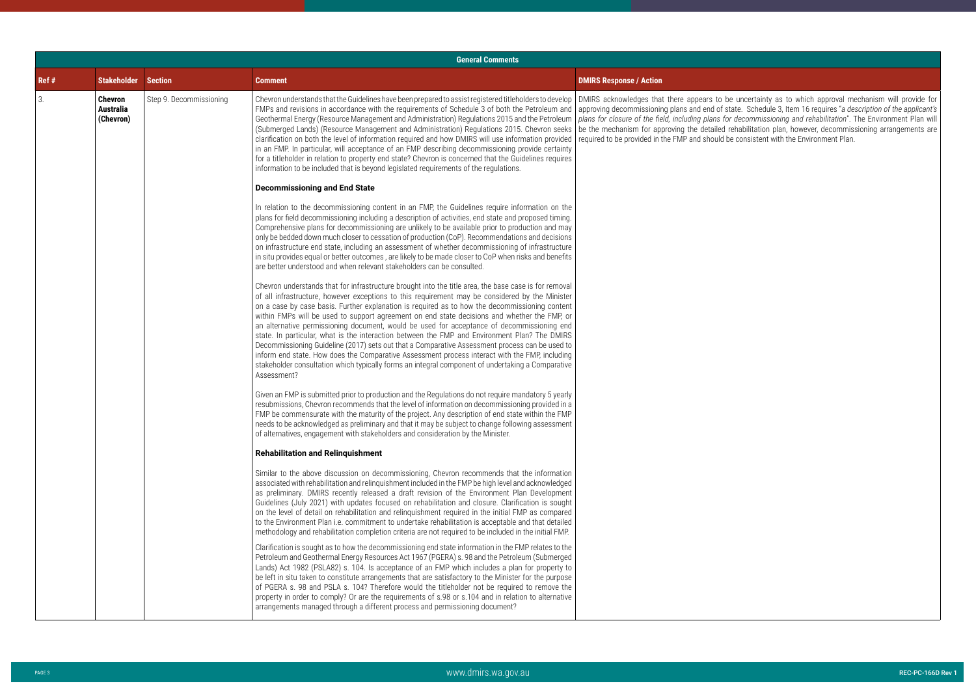|       | <b>General Comments</b>                         |                         |                                                                                                                                                                                                                                                                                                                                                                                                                                                                                                                                                                                                                                                                                                                                                                                                                                                                                                                                                                                                                                                                                                                                                                                                                                                                         |                                |
|-------|-------------------------------------------------|-------------------------|-------------------------------------------------------------------------------------------------------------------------------------------------------------------------------------------------------------------------------------------------------------------------------------------------------------------------------------------------------------------------------------------------------------------------------------------------------------------------------------------------------------------------------------------------------------------------------------------------------------------------------------------------------------------------------------------------------------------------------------------------------------------------------------------------------------------------------------------------------------------------------------------------------------------------------------------------------------------------------------------------------------------------------------------------------------------------------------------------------------------------------------------------------------------------------------------------------------------------------------------------------------------------|--------------------------------|
| Ref # | <b>Stakeholder Section</b>                      |                         | <b>Comment</b>                                                                                                                                                                                                                                                                                                                                                                                                                                                                                                                                                                                                                                                                                                                                                                                                                                                                                                                                                                                                                                                                                                                                                                                                                                                          | <b>DMIRS Response / Action</b> |
| 3.    | <b>Chevron</b><br><b>Australia</b><br>(Chevron) | Step 9. Decommissioning | Chevron understands that the Guidelines have been prepared to assist registered titleholders to develop   DMIRS acknowledges that there appears to be uncertainty as to which approval m<br>FMPs and revisions in accordance with the requirements of Schedule 3 of both the Petroleum and   approving decommissioning plans and end of state. Schedule 3, Item 16 requires "a de<br>Geothermal Energy (Resource Management and Administration) Regulations 2015 and the Petroleum   plans for closure of the field, including plans for decommissioning and rehabilitation".<br>(Submerged Lands) (Resource Management and Administration) Regulations 2015. Chevron seeks   be the mechanism for approving the detailed rehabilitation plan, however, decommis<br>clarification on both the level of information required and how DMIRS will use information provided   required to be provided in the FMP and should be consistent with the Environment Plan.<br>in an FMP. In particular, will acceptance of an FMP describing decommissioning provide certainty<br>for a titleholder in relation to property end state? Chevron is concerned that the Guidelines requires<br>information to be included that is beyond legislated requirements of the regulations. |                                |
|       |                                                 |                         | <b>Decommissioning and End State</b>                                                                                                                                                                                                                                                                                                                                                                                                                                                                                                                                                                                                                                                                                                                                                                                                                                                                                                                                                                                                                                                                                                                                                                                                                                    |                                |
|       |                                                 |                         | In relation to the decommissioning content in an FMP, the Guidelines require information on the<br>plans for field decommissioning including a description of activities, end state and proposed timing.<br>Comprehensive plans for decommissioning are unlikely to be available prior to production and may<br>only be bedded down much closer to cessation of production (CoP). Recommendations and decisions<br>on infrastructure end state, including an assessment of whether decommissioning of infrastructure<br>in situ provides equal or better outcomes, are likely to be made closer to CoP when risks and benefits<br>are better understood and when relevant stakeholders can be consulted.<br>Chevron understands that for infrastructure brought into the title area, the base case is for removal<br>of all infrastructure, however exceptions to this requirement may be considered by the Minister<br>on a case by case basis. Further explanation is required as to how the decommissioning content<br>within FMPs will be used to support agreement on end state decisions and whether the FMP, or                                                                                                                                                  |                                |
|       |                                                 |                         | an alternative permissioning document, would be used for acceptance of decommissioning end<br>state. In particular, what is the interaction between the FMP and Environment Plan? The DMIRS<br>Decommissioning Guideline (2017) sets out that a Comparative Assessment process can be used to<br>inform end state. How does the Comparative Assessment process interact with the FMP, including<br>stakeholder consultation which typically forms an integral component of undertaking a Comparative<br>Assessment?                                                                                                                                                                                                                                                                                                                                                                                                                                                                                                                                                                                                                                                                                                                                                     |                                |
|       |                                                 |                         | Given an FMP is submitted prior to production and the Regulations do not require mandatory 5 yearly<br>resubmissions, Chevron recommends that the level of information on decommissioning provided in a<br>FMP be commensurate with the maturity of the project. Any description of end state within the FMP<br>needs to be acknowledged as preliminary and that it may be subject to change following assessment<br>of alternatives, engagement with stakeholders and consideration by the Minister.                                                                                                                                                                                                                                                                                                                                                                                                                                                                                                                                                                                                                                                                                                                                                                   |                                |
|       |                                                 |                         | <b>Rehabilitation and Relinquishment</b>                                                                                                                                                                                                                                                                                                                                                                                                                                                                                                                                                                                                                                                                                                                                                                                                                                                                                                                                                                                                                                                                                                                                                                                                                                |                                |
|       |                                                 |                         | Similar to the above discussion on decommissioning, Chevron recommends that the information<br>associated with rehabilitation and relinquishment included in the FMP be high level and acknowledged<br>as preliminary. DMIRS recently released a draft revision of the Environment Plan Development<br>Guidelines (July 2021) with updates focused on rehabilitation and closure. Clarification is sought<br>on the level of detail on rehabilitation and relinquishment required in the initial FMP as compared<br>to the Environment Plan i.e. commitment to undertake rehabilitation is acceptable and that detailed<br>methodology and rehabilitation completion criteria are not required to be included in the initial FMP.                                                                                                                                                                                                                                                                                                                                                                                                                                                                                                                                       |                                |
|       |                                                 |                         | Clarification is sought as to how the decommissioning end state information in the FMP relates to the<br>Petroleum and Geothermal Energy Resources Act 1967 (PGERA) s. 98 and the Petroleum (Submerged<br>Lands) Act 1982 (PSLA82) s. 104. Is acceptance of an FMP which includes a plan for property to<br>be left in situ taken to constitute arrangements that are satisfactory to the Minister for the purpose<br>of PGERA s. 98 and PSLA s. 104? Therefore would the titleholder not be required to remove the<br>property in order to comply? Or are the requirements of s.98 or s.104 and in relation to alternative<br>arrangements managed through a different process and permissioning document?                                                                                                                                                                                                                                                                                                                                                                                                                                                                                                                                                             |                                |

DMIRS acknowledges that there appears to be uncertainty as to which approval mechanism will provide for approving decommissioning plans and end of state. Schedule 3, Item 16 requires "*a description of the applicant's plans for closure of the field, including plans for decommissioning and rehabilitation*". The Environment Plan will be the mechanism for approving the detailed rehabilitation plan, however, decommissioning arrangements are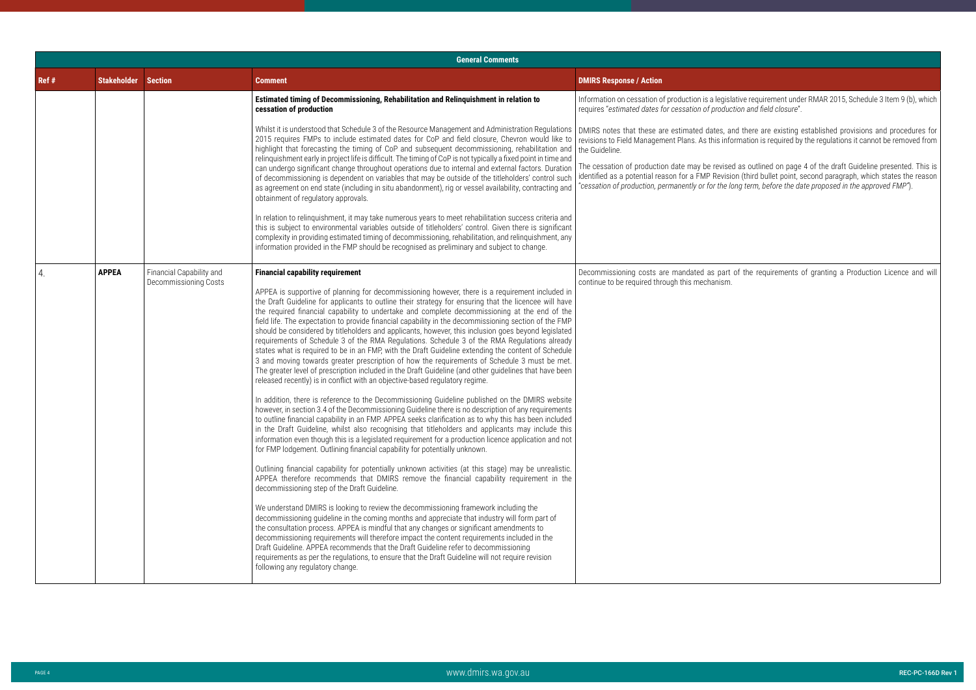ative requirement under RMAR 2015, Schedule 3 Item 9 (b), which requires "*estimated dates for cessation of production and field closure*".

d as outlined on page 4 of the draft Guideline presented. This is identified as a potential reason for a FMP Revision (third bullet point, second paragraph, which states the reason "*cessation of production, permanently or for the long term, before the date proposed in the approved FMP"*).

of the requirements of granting a Production Licence and will

DMIRS notes that these are estimated dates, and there are existing established provisions and procedures for revisions to Field Management Plans. As this information is required by the regulations it cannot be removed from

|       |                                                                                                                                            |                                                                                                                                                                                                              | <b>General Comments</b>                                                                                                                                                                                                                                                                                                                                                                                                                                                                                                                                                                                                                                                                                                                                                                                                                                                                                                                                                                                                                                                                                                                                                                                                                                                                                                                                                                                                                                                                                                                                                                                                                                                                                                                                                                                                                                                                                                                                                                                                                                                                                                                                                                                                                                                                                                                                                                                                                                                                                                                                        |                                                                                                                                                                            |  |
|-------|--------------------------------------------------------------------------------------------------------------------------------------------|--------------------------------------------------------------------------------------------------------------------------------------------------------------------------------------------------------------|----------------------------------------------------------------------------------------------------------------------------------------------------------------------------------------------------------------------------------------------------------------------------------------------------------------------------------------------------------------------------------------------------------------------------------------------------------------------------------------------------------------------------------------------------------------------------------------------------------------------------------------------------------------------------------------------------------------------------------------------------------------------------------------------------------------------------------------------------------------------------------------------------------------------------------------------------------------------------------------------------------------------------------------------------------------------------------------------------------------------------------------------------------------------------------------------------------------------------------------------------------------------------------------------------------------------------------------------------------------------------------------------------------------------------------------------------------------------------------------------------------------------------------------------------------------------------------------------------------------------------------------------------------------------------------------------------------------------------------------------------------------------------------------------------------------------------------------------------------------------------------------------------------------------------------------------------------------------------------------------------------------------------------------------------------------------------------------------------------------------------------------------------------------------------------------------------------------------------------------------------------------------------------------------------------------------------------------------------------------------------------------------------------------------------------------------------------------------------------------------------------------------------------------------------------------|----------------------------------------------------------------------------------------------------------------------------------------------------------------------------|--|
| Ref # | <b>Stakeholder Section</b>                                                                                                                 |                                                                                                                                                                                                              | <b>Comment</b>                                                                                                                                                                                                                                                                                                                                                                                                                                                                                                                                                                                                                                                                                                                                                                                                                                                                                                                                                                                                                                                                                                                                                                                                                                                                                                                                                                                                                                                                                                                                                                                                                                                                                                                                                                                                                                                                                                                                                                                                                                                                                                                                                                                                                                                                                                                                                                                                                                                                                                                                                 | <b>DMIRS Response / Action</b>                                                                                                                                             |  |
|       |                                                                                                                                            |                                                                                                                                                                                                              | Estimated timing of Decommissioning, Rehabilitation and Relinquishment in relation to<br>cessation of production                                                                                                                                                                                                                                                                                                                                                                                                                                                                                                                                                                                                                                                                                                                                                                                                                                                                                                                                                                                                                                                                                                                                                                                                                                                                                                                                                                                                                                                                                                                                                                                                                                                                                                                                                                                                                                                                                                                                                                                                                                                                                                                                                                                                                                                                                                                                                                                                                                               | Information on cessation of production is a legisla<br>requires "estimated dates for cessation of producti                                                                 |  |
|       |                                                                                                                                            |                                                                                                                                                                                                              | Whilst it is understood that Schedule 3 of the Resource Management and Administration Regulations<br>2015 requires FMPs to include estimated dates for CoP and field closure, Chevron would like to<br>highlight that forecasting the timing of CoP and subsequent decommissioning, rehabilitation and<br>relinquishment early in project life is difficult. The timing of CoP is not typically a fixed point in time and                                                                                                                                                                                                                                                                                                                                                                                                                                                                                                                                                                                                                                                                                                                                                                                                                                                                                                                                                                                                                                                                                                                                                                                                                                                                                                                                                                                                                                                                                                                                                                                                                                                                                                                                                                                                                                                                                                                                                                                                                                                                                                                                      | DMIRS notes that these are estimated dates, and<br>revisions to Field Management Plans. As this infor<br>the Guideline.<br>The cessation of production date may be revised |  |
|       | can undergo significant change throughout operations due to internal and external factors. Duration<br>obtainment of regulatory approvals. | of decommissioning is dependent on variables that may be outside of the titleholders' control such<br>as agreement on end state (including in situ abandonment), rig or vessel availability, contracting and | identified as a potential reason for a FMP Revisior<br>"cessation of production, permanently or for the lor                                                                                                                                                                                                                                                                                                                                                                                                                                                                                                                                                                                                                                                                                                                                                                                                                                                                                                                                                                                                                                                                                                                                                                                                                                                                                                                                                                                                                                                                                                                                                                                                                                                                                                                                                                                                                                                                                                                                                                                                                                                                                                                                                                                                                                                                                                                                                                                                                                                    |                                                                                                                                                                            |  |
|       |                                                                                                                                            |                                                                                                                                                                                                              | In relation to relinquishment, it may take numerous years to meet rehabilitation success criteria and<br>this is subject to environmental variables outside of titleholders' control. Given there is significant<br>complexity in providing estimated timing of decommissioning, rehabilitation, and relinguishment, any<br>information provided in the FMP should be recognised as preliminary and subject to change.                                                                                                                                                                                                                                                                                                                                                                                                                                                                                                                                                                                                                                                                                                                                                                                                                                                                                                                                                                                                                                                                                                                                                                                                                                                                                                                                                                                                                                                                                                                                                                                                                                                                                                                                                                                                                                                                                                                                                                                                                                                                                                                                         |                                                                                                                                                                            |  |
| 4.    | <b>APPEA</b>                                                                                                                               | Financial Capability and<br>Decommissioning Costs                                                                                                                                                            | <b>Financial capability requirement</b><br>APPEA is supportive of planning for decommissioning however, there is a requirement included in<br>the Draft Guideline for applicants to outline their strategy for ensuring that the licencee will have<br>the required financial capability to undertake and complete decommissioning at the end of the<br>field life. The expectation to provide financial capability in the decommissioning section of the FMP<br>should be considered by titleholders and applicants, however, this inclusion goes beyond legislated<br>requirements of Schedule 3 of the RMA Regulations. Schedule 3 of the RMA Regulations already<br>states what is required to be in an FMP, with the Draft Guideline extending the content of Schedule<br>3 and moving towards greater prescription of how the requirements of Schedule 3 must be met.<br>The greater level of prescription included in the Draft Guideline (and other guidelines that have been<br>released recently) is in conflict with an objective-based regulatory regime.<br>In addition, there is reference to the Decommissioning Guideline published on the DMIRS website<br>however, in section 3.4 of the Decommissioning Guideline there is no description of any requirements<br>to outline financial capability in an FMP. APPEA seeks clarification as to why this has been included<br>in the Draft Guideline, whilst also recognising that titleholders and applicants may include this<br>information even though this is a legislated requirement for a production licence application and not<br>for FMP lodgement. Outlining financial capability for potentially unknown.<br>Outlining financial capability for potentially unknown activities (at this stage) may be unrealistic.<br>APPEA therefore recommends that DMIRS remove the financial capability requirement in the<br>decommissioning step of the Draft Guideline.<br>We understand DMIRS is looking to review the decommissioning framework including the<br>decommissioning guideline in the coming months and appreciate that industry will form part of<br>the consultation process. APPEA is mindful that any changes or significant amendments to<br>decommissioning requirements will therefore impact the content requirements included in the<br>Draft Guideline. APPEA recommends that the Draft Guideline refer to decommissioning<br>requirements as per the regulations, to ensure that the Draft Guideline will not require revision<br>following any regulatory change. | Decommissioning costs are mandated as part o<br>continue to be required through this mechanism.                                                                            |  |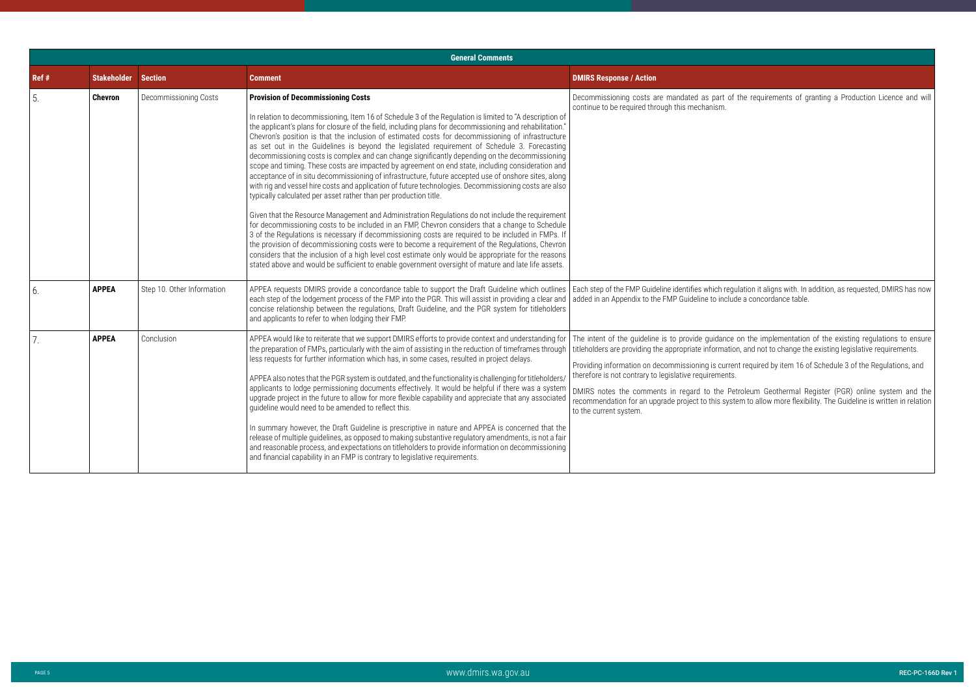the requirements of granting a Production Licence and will

|       |                    |                            | <b>General Comments</b>                                                                                                                                                                                                                                                                                                                                                                                                                                                                                                                                                                                                                                                                                                                                                                                                                                                                                                                                                                                                                                                                                                                                                                                                                                                                                                                                                                                                                                                                                                                                                                          |                                                                                                                                                                                                                                                                                                                                                                                                    |  |
|-------|--------------------|----------------------------|--------------------------------------------------------------------------------------------------------------------------------------------------------------------------------------------------------------------------------------------------------------------------------------------------------------------------------------------------------------------------------------------------------------------------------------------------------------------------------------------------------------------------------------------------------------------------------------------------------------------------------------------------------------------------------------------------------------------------------------------------------------------------------------------------------------------------------------------------------------------------------------------------------------------------------------------------------------------------------------------------------------------------------------------------------------------------------------------------------------------------------------------------------------------------------------------------------------------------------------------------------------------------------------------------------------------------------------------------------------------------------------------------------------------------------------------------------------------------------------------------------------------------------------------------------------------------------------------------|----------------------------------------------------------------------------------------------------------------------------------------------------------------------------------------------------------------------------------------------------------------------------------------------------------------------------------------------------------------------------------------------------|--|
| Ref # | <b>Stakeholder</b> | <b>Section</b>             | <b>Comment</b>                                                                                                                                                                                                                                                                                                                                                                                                                                                                                                                                                                                                                                                                                                                                                                                                                                                                                                                                                                                                                                                                                                                                                                                                                                                                                                                                                                                                                                                                                                                                                                                   | <b>DMIRS Response / Action</b>                                                                                                                                                                                                                                                                                                                                                                     |  |
| 5.    | <b>Chevron</b>     | Decommissioning Costs      | <b>Provision of Decommissioning Costs</b><br>In relation to decommissioning, Item 16 of Schedule 3 of the Regulation is limited to "A description of<br>the applicant's plans for closure of the field, including plans for decommissioning and rehabilitation."<br>Chevron's position is that the inclusion of estimated costs for decommissioning of infrastructure<br>as set out in the Guidelines is beyond the legislated requirement of Schedule 3. Forecasting<br>decommissioning costs is complex and can change significantly depending on the decommissioning<br>scope and timing. These costs are impacted by agreement on end state, including consideration and<br>acceptance of in situ decommissioning of infrastructure, future accepted use of onshore sites, along<br>with rig and vessel hire costs and application of future technologies. Decommissioning costs are also<br>typically calculated per asset rather than per production title.<br>Given that the Resource Management and Administration Regulations do not include the requirement<br>for decommissioning costs to be included in an FMP, Chevron considers that a change to Schedule<br>3 of the Regulations is necessary if decommissioning costs are required to be included in FMPs. If<br>the provision of decommissioning costs were to become a requirement of the Regulations, Chevron<br>considers that the inclusion of a high level cost estimate only would be appropriate for the reasons<br>stated above and would be sufficient to enable government oversight of mature and late life assets. | Decommissioning costs are mandated as part of the requirements of gi<br>continue to be required through this mechanism.                                                                                                                                                                                                                                                                            |  |
| 6.    | <b>APPEA</b>       | Step 10. Other Information | APPEA requests DMIRS provide a concordance table to support the Draft Guideline which outlines   Each step of the FMP Guideline identifies which regulation it aligns with. In a<br>each step of the lodgement process of the FMP into the PGR. This will assist in providing a clear and   added in an Appendix to the FMP Guideline to include a concordance table.<br>concise relationship between the regulations, Draft Guideline, and the PGR system for titleholders<br>and applicants to refer to when lodging their FMP.                                                                                                                                                                                                                                                                                                                                                                                                                                                                                                                                                                                                                                                                                                                                                                                                                                                                                                                                                                                                                                                                |                                                                                                                                                                                                                                                                                                                                                                                                    |  |
| 7.    | <b>APPEA</b>       | Conclusion                 | APPEA would like to reiterate that we support DMIRS efforts to provide context and understanding for The intent of the guideline is to provide guidance on the implementation<br>the preparation of FMPs, particularly with the aim of assisting in the reduction of timeframes through<br>less requests for further information which has, in some cases, resulted in project delays.<br>APPEA also notes that the PGR system is outdated, and the functionality is challenging for titleholders/<br>applicants to lodge permissioning documents effectively. It would be helpful if there was a system<br>upgrade project in the future to allow for more flexible capability and appreciate that any associated<br>guideline would need to be amended to reflect this.<br>In summary however, the Draft Guideline is prescriptive in nature and APPEA is concerned that the<br>release of multiple guidelines, as opposed to making substantive regulatory amendments, is not a fair<br>and reasonable process, and expectations on titleholders to provide information on decommissioning<br>and financial capability in an FMP is contrary to legislative requirements.                                                                                                                                                                                                                                                                                                                                                                                                                     | titleholders are providing the appropriate information, and not to change the<br>Providing information on decommissioning is current required by item 16 of<br>therefore is not contrary to legislative requirements.<br>DMIRS notes the comments in regard to the Petroleum Geothermal Re<br>recommendation for an upgrade project to this system to allow more flexibi<br>to the current system. |  |

Each step of the FMP Guideline identifies which regulation it aligns with. In addition, as requested, DMIRS has now

The intent of the guideline is to provide guidance on the implementation of the existing regulations to ensure titleholders are providing the appropriate information, and not to change the existing legislative requirements.

ent required by item 16 of Schedule 3 of the Regulations, and

DMIRS notes the comments in regard to the Petroleum Geothermal Register (PGR) online system and the recommendation for an upgrade project to this system to allow more flexibility. The Guideline is written in relation